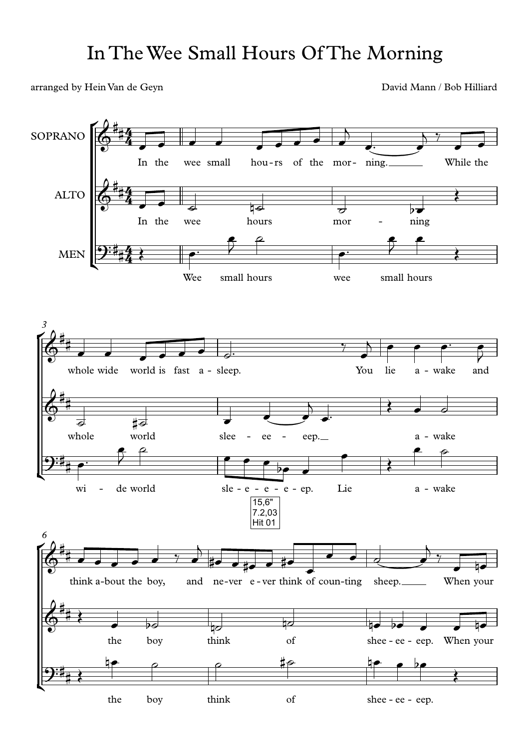arranged by Hein Van de Geyn David Mann / Bob Hilliard